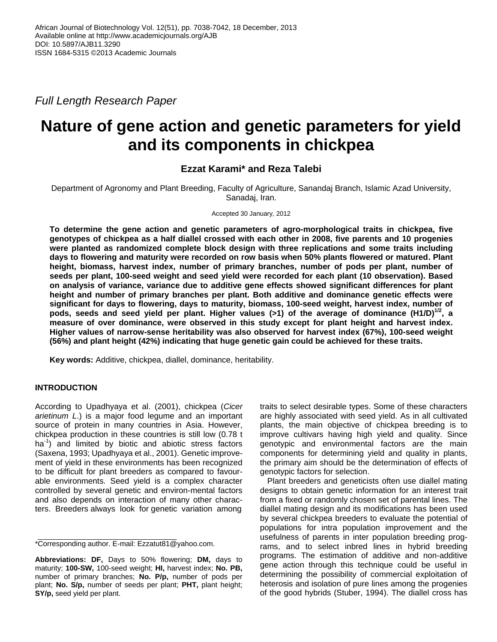*Full Length Research Paper*

# **Nature of gene action and genetic parameters for yield and its components in chickpea**

## **Ezzat Karami\* and Reza Talebi**

Department of Agronomy and Plant Breeding, Faculty of Agriculture, Sanandaj Branch, Islamic Azad University, Sanadaj, Iran.

Accepted 30 January, 2012

**To determine the gene action and genetic parameters of agro-morphological traits in chickpea, five genotypes of chickpea as a half diallel crossed with each other in 2008, five parents and 10 progenies were planted as randomized complete block design with three replications and some traits including days to flowering and maturity were recorded on row basis when 50% plants flowered or matured. Plant height, biomass, harvest index, number of primary branches, number of pods per plant, number of seeds per plant, 100-seed weight and seed yield were recorded for each plant (10 observation). Based on analysis of variance, variance due to additive gene effects showed significant differences for plant height and number of primary branches per plant. Both additive and dominance genetic effects were significant for days to flowering, days to maturity, biomass, 100-seed weight, harvest index, number of pods, seeds and seed yield per plant. Higher values (>1) of the average of dominance (H1/D)1/2 , a measure of over dominance, were observed in this study except for plant height and harvest index. Higher values of narrow-sense heritability was also observed for harvest index (67%), 100-seed weight (56%) and plant height (42%) indicating that huge genetic gain could be achieved for these traits.** 

**Key words:** Additive, chickpea, diallel, dominance, heritability.

### **INTRODUCTION**

According to Upadhyaya et al. (2001), chickpea (*Cicer arietinum L*.) is a major food legume and an important source of protein in many countries in Asia. However, chickpea production in these countries is still low (0.78 t ha<sup>-1</sup>) and limited by biotic and abiotic stress factors (Saxena, 1993; Upadhyaya et al., 2001). Genetic improvement of yield in these environments has been recognized to be difficult for plant breeders as compared to favourable environments. Seed yield is a complex character controlled by several genetic and environ-mental factors and also depends on interaction of many other characters. Breeders always look for genetic variation among

\*Corresponding author. E-mail: Ezzatut81@yahoo.com.

traits to select desirable types. Some of these characters are highly associated with seed yield. As in all cultivated plants, the main objective of chickpea breeding is to improve cultivars having high yield and quality. Since genotypic and environmental factors are the main components for determining yield and quality in plants, the primary aim should be the determination of effects of genotypic factors for selection.

Plant breeders and geneticists often use diallel mating designs to obtain genetic information for an interest trait from a fixed or randomly chosen set of parental lines. The diallel mating design and its modifications has been used by several chickpea breeders to evaluate the potential of populations for intra population improvement and the usefulness of parents in inter population breeding programs, and to select inbred lines in hybrid breeding programs. The estimation of additive and non-additive gene action through this technique could be useful in determining the possibility of commercial exploitation of heterosis and isolation of pure lines among the progenies of the good hybrids (Stuber, 1994). The diallel cross has

**Abbreviations: DF,** Days to 50% flowering; **DM,** days to maturity; **100-SW,** 100-seed weight; **HI,** harvest index; **No. PB,** number of primary branches; **No. P/p,** number of pods per plant; **No. S/p,** number of seeds per plant; **PHT,** plant height; **SY/p,** seed yield per plant.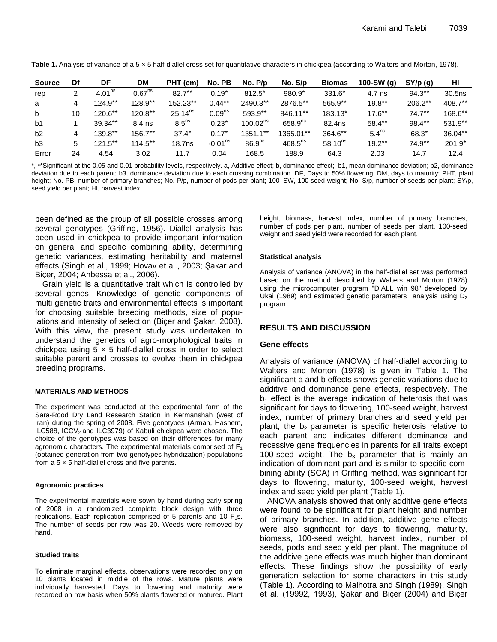Table 1. Analysis of variance of a 5 x 5 half-diallel cross set for quantitative characters in chickpea (according to Walters and Morton, 1978).

| <b>Source</b>  | Df | DF                 | <b>DM</b>          | PHT (cm)           | No. PB             | No. P/p              | No. S/p      | <b>Biomas</b> | 100-SW $(q)$      | SY/p(q)   | HI        |
|----------------|----|--------------------|--------------------|--------------------|--------------------|----------------------|--------------|---------------|-------------------|-----------|-----------|
| rep            |    | 4.01 <sup>ns</sup> | 0.67 <sup>ns</sup> | $82.7***$          | $0.19*$            | $812.5*$             | $980.9*$     | 331.6*        | 4.7 ns            | $94.3**$  | 30.5ns    |
| a              | 4  | $124.9**$          | $128.9**$          | 152.23**           | $0.44**$           | 2490.3**             | 2876.5**     | 565.9**       | $19.8**$          | $206.2**$ | 408.7**   |
| b              | 10 | $120.6**$          | $120.8**$          | $25.14^{ns}$       | 0.09 <sup>ns</sup> | 593.9**              | 846.11**     | 183.13*       | $17.6***$         | $74.7***$ | 168.6**   |
| b1             |    | 39.34**            | 8.4 ns             | 8.5 <sup>ns</sup>  | $0.23*$            | 100.02 <sup>ns</sup> | $658.9^{ns}$ | 82.4ns        | $58.4**$          | 98.4**    | $531.9**$ |
| b2             | 4  | $139.8**$          | 156.7**            | $37.4*$            | $0.17*$            | 1351.1**             | 1365.01**    | 364.6**       | 5.4 <sup>ns</sup> | 68.3*     | $36.04**$ |
| b <sub>3</sub> | 5  | $121.5***$         | $114.5**$          | 18.7 <sub>ns</sub> | $-0.01ns$          | 86.9 <sup>ns</sup>   | $468.5^{ns}$ | $58.10^{ns}$  | $19.2**$          | 74.9**    | $201.9*$  |
| Error          | 24 | 4.54               | 3.02               | 11.7               | 0.04               | 168.5                | 188.9        | 64.3          | 2.03              | 14.7      | 12.4      |

\*, \*\*Significant at the 0.05 and 0.01 probability levels, respectively. a, Additive effect; b, dominance effect; b1, mean dominance deviation; b2, dominance deviation due to each parent; b3, dominance deviation due to each crossing combination. DF, Days to 50% flowering; DM, days to maturity; PHT, plant height; No. PB, number of primary branches; No. P/p, number of pods per plant; 100-SW, 100-seed weight; No. S/p, number of seeds per plant; SY/p, seed yield per plant; HI, harvest index.

been defined as the group of all possible crosses among several genotypes (Griffing, 1956). Diallel analysis has been used in chickpea to provide important information on general and specific combining ability, determining genetic variances, estimating heritability and maternal effects (Singh et al., 1999; Hovav et al., 2003; Şakar and Biçer, 2004; Anbessa et al., 2006).

Grain yield is a quantitative trait which is controlled by several genes. Knowledge of genetic components of multi genetic traits and environmental effects is important for choosing suitable breeding methods, size of populations and intensity of selection (Bicer and Sakar, 2008). With this view, the present study was undertaken to understand the genetics of agro-morphological traits in chickpea using  $5 \times 5$  half-diallel cross in order to select suitable parent and crosses to evolve them in chickpea breeding programs.

#### **MATERIALS AND METHODS**

The experiment was conducted at the experimental farm of the Sara-Rood Dry Land Research Station in Kermanshah (west of Iran) during the spring of 2008. Five genotypes (Arman, Hashem, ILC588, ICCV<sub>2</sub> and ILC3979) of Kabuli chickpea were chosen. The choice of the genotypes was based on their differences for many agronomic characters. The experimental materials comprised of  $F_1$ (obtained generation from two genotypes hybridization) populations from a  $5 \times 5$  half-diallel cross and five parents.

#### **Agronomic practices**

The experimental materials were sown by hand during early spring of 2008 in a randomized complete block design with three replications. Each replication comprised of 5 parents and 10  $F_1$ s. The number of seeds per row was 20. Weeds were removed by hand.

#### **Studied traits**

To eliminate marginal effects, observations were recorded only on 10 plants located in middle of the rows. Mature plants were individually harvested. Days to flowering and maturity were recorded on row basis when 50% plants flowered or matured. Plant

height, biomass, harvest index, number of primary branches, number of pods per plant, number of seeds per plant, 100-seed weight and seed yield were recorded for each plant.

#### **Statistical analysis**

Analysis of variance (ANOVA) in the half-diallel set was performed based on the method described by Walters and Morton (1978) using the microcomputer program "DIALL win 98" developed by Ukai (1989) and estimated genetic parameters analysis using  $D_2$ program.

#### **RESULTS AND DISCUSSION**

#### **Gene effects**

Analysis of variance (ANOVA) of half-diallel according to Walters and Morton (1978) is given in Table 1. The significant a and b effects shows genetic variations due to additive and dominance gene effects, respectively. The  $b_1$  effect is the average indication of heterosis that was significant for days to flowering, 100-seed weight, harvest index, number of primary branches and seed yield per plant; the  $b_2$  parameter is specific heterosis relative to each parent and indicates different dominance and recessive gene frequencies in parents for all traits except 100-seed weight. The  $b_3$  parameter that is mainly an indication of dominant part and is similar to specific combining ability (SCA) in Griffing method, was significant for days to flowering, maturity, 100-seed weight, harvest index and seed yield per plant (Table 1).

ANOVA analysis showed that only additive gene effects were found to be significant for plant height and number of primary branches. In addition, additive gene effects were also significant for days to flowering, maturity, biomass, 100-seed weight, harvest index, number of seeds, pods and seed yield per plant. The magnitude of the additive gene effects was much higher than dominant effects. These findings show the possibility of early generation selection for some characters in this study (Table 1). According to Malhotra and Singh (1989), Singh et al. (19992, 1993), Sakar and Bicer (2004) and Bicer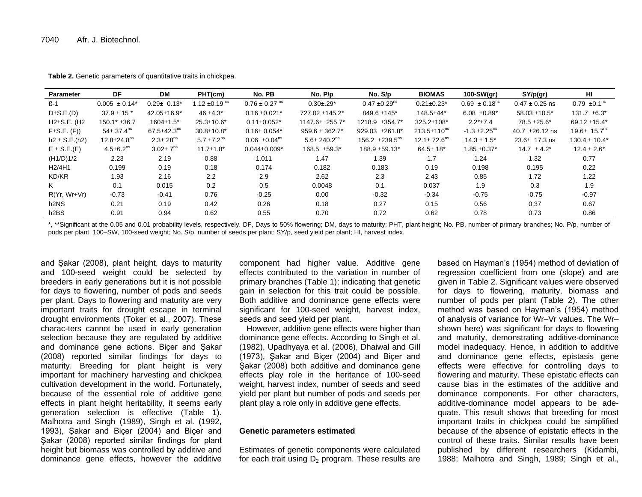| Parameter                       | DF                            | <b>DM</b>                     | PHT(cm)                       | No. PB                        | No. P/p                       | No. S/p                         | <b>BIOMAS</b>                 | $100-SW(qr)$                  | SY/p(gr)            | HI                            |
|---------------------------------|-------------------------------|-------------------------------|-------------------------------|-------------------------------|-------------------------------|---------------------------------|-------------------------------|-------------------------------|---------------------|-------------------------------|
| $\mathsf{B}\text{-}1$           | $0.005 \pm 0.14^*$            | $0.29 \pm 0.13^*$             | 1.12 $\pm$ 0.19 <sup>ms</sup> | $0.76 \pm 0.27$ <sup>ns</sup> | $0.30 + 0.29*$                | $0.47 \pm 0.29$ <sup>ns</sup>   | $0.21 \pm 0.23$ *             | $0.69 \pm 0.18$ <sup>ns</sup> | $0.47 \pm 0.25$ ns  | $0.79 \pm 0.1^{\text{ns}}$    |
| $D\pm S.E.(D)$                  | $37.9 \pm 15$ *               | $42.05 \pm 16.9^*$            | $46 + 4.3^*$                  | $0.16 \pm 0.021$ *            | 727.02 ±145.2*                | $849.6 \pm 145$ *               | 148.5±44*                     | 6.08 $\pm 0.89^*$             | $58.03 \pm 10.5^*$  | $131.7 \pm 6.3^*$             |
| $H2\pm S.E.$ (H <sub>2</sub>    | $150.1* + 36.7$               | $1604 \pm 1.5^*$              | $25.3 \pm 10.6^*$             | $0.11 \pm 0.052$ *            | 1147.6± 255.7*                | $1218.9 \pm 354.7^*$            | $325.2 \pm 108$ *             | $2.2*+7.4$                    | $78.5 + 25.6*$      | 69.12 $±15.4*$                |
| $F\pm S.E.$ (F))                | $54 \pm 37.4$ <sup>ns</sup>   | $67.5 \pm 42.3$ <sup>ns</sup> | $30.8 \pm 10.8^*$             | $0.16 \pm 0.054*$             | $959.6 \pm 362.7^*$           | $929.03 + 261.8$ <sup>*</sup>   | $213.5 \pm 110^{ns}$          | $-1.3 \pm 2.25$ <sup>ns</sup> | 40.7 $\pm 26.12$ ns | 19.6 $\pm$ 15.7 <sup>ns</sup> |
| $h2 \pm S.E.(h2)$               | $12.8 \pm 24.8$ <sup>ns</sup> | $2.3 \pm 28$ <sup>ns</sup>    | 5.7 $\pm$ 7.2 <sup>ns</sup>   | $0.06 \pm 0.04^{\text{ns}}$   | $5.6 \pm 240.2$ <sup>ns</sup> | $156.2 \pm 239.5$ <sup>ns</sup> | $12.1 \pm 72.6$ <sup>ns</sup> | $14.3 \pm 1.5^*$              | $23.6 \pm 17.3$ ns  | $130.4 \pm 10.4^*$            |
| $E \pm S.E.(E)$                 | $4.5 \pm 6.2$ <sup>ns</sup>   | $3.02 \pm 7^{ns}$             | $11.7 \pm 1.8^*$              | $0.044 \pm 0.009$ *           | $168.5 \pm 59.3^*$            | 188.9 ±59.13*                   | $64.5 \pm 18^*$               | $1.85 \pm 0.37$ *             | $14.7 \pm 4.2^*$    | $12.4 \pm 2.6^*$              |
| (H1/D)1/2                       | 2.23                          | 2.19                          | 0.88                          | 1.011                         | 1.47                          | 1.39                            | 1.7                           | 1.24                          | 1.32                | 0.77                          |
| H <sub>2</sub> /4H <sub>1</sub> | 0.199                         | 0.19                          | 0.18                          | 0.174                         | 0.182                         | 0.183                           | 0.19                          | 0.198                         | 0.195               | 0.22                          |
| KD/KR                           | 1.93                          | 2.16                          | 2.2                           | 2.9                           | 2.62                          | 2.3                             | 2.43                          | 0.85                          | 1.72                | 1.22                          |
| K                               | 0.1                           | 0.015                         | 0.2                           | 0.5                           | 0.0048                        | 0.1                             | 0.037                         | 1.9                           | 0.3                 | 1.9                           |
| $R(Yr, Wr+Vr)$                  | $-0.73$                       | $-0.41$                       | 0.76                          | $-0.25$                       | 0.00                          | $-0.32$                         | $-0.34$                       | $-0.75$                       | $-0.75$             | $-0.97$                       |
| h2NS                            | 0.21                          | 0.19                          | 0.42                          | 0.26                          | 0.18                          | 0.27                            | 0.15                          | 0.56                          | 0.37                | 0.67                          |
| h <sub>2</sub> BS               | 0.91                          | 0.94                          | 0.62                          | 0.55                          | 0.70                          | 0.72                            | 0.62                          | 0.78                          | 0.73                | 0.86                          |

**Table 2.** Genetic parameters of quantitative traits in chickpea.

\*, \*\*Significant at the 0.05 and 0.01 probability levels, respectively. DF, Days to 50% flowering; DM, days to maturity; PHT, plant height; No. PB, number of primary branches; No. P/p, number of pods per plant; 100–SW, 100-seed weight; No. S/p, number of seeds per plant; SY/p, seed yield per plant; HI, harvest index.

and Şakar (2008), plant height, days to maturity and 100-seed weight could be selected by breeders in early generations but it is not possible for days to flowering, number of pods and seeds per plant. Days to flowering and maturity are very important traits for drought escape in terminal drought environments (Toker et al., 2007). These charac-ters cannot be used in early generation selection because they are regulated by additive and dominance gene actions. Bicer and Sakar (2008) reported similar findings for days to maturity. Breeding for plant height is very important for machinery harvesting and chickpea cultivation development in the world. Fortunately, because of the essential role of additive gene effects in plant height heritability, it seems early generation selection is effective (Table 1). Malhotra and Singh (1989), Singh et al. (1992, 1993), Şakar and Biçer (2004) and Biçer and Şakar (2008) reported similar findings for plant height but biomass was controlled by additive and dominance gene effects, however the additive

component had higher value. Additive gene effects contributed to the variation in number of primary branches (Table 1); indicating that genetic gain in selection for this trait could be possible. Both additive and dominance gene effects were significant for 100-seed weight, harvest index, seeds and seed yield per plant.

However, additive gene effects were higher than dominance gene effects. According to Singh et al. (1982), Upadhyaya et al. (2006), Dhaiwal and Gill (1973), Şakar and Biçer (2004) and Biçer and Şakar (2008) both additive and dominance gene effects play role in the heritance of 100-seed weight, harvest index, number of seeds and seed yield per plant but number of pods and seeds per plant play a role only in additive gene effects.

#### **Genetic parameters estimated**

Estimates of genetic components were calculated for each trait using  $D_2$  program. These results are

based on Hayman's (1954) method of deviation of regression coefficient from one (slope) and are given in Table 2. Significant values were observed for days to flowering, maturity, biomass and number of pods per plant (Table 2). The other method was based on Hayman's (1954) method of analysis of variance for Wr–Vr values. The Wr– shown here) was significant for days to flowering and maturity, demonstrating additive-dominance model inadequacy. Hence, in addition to additive and dominance gene effects, epistasis gene effects were effective for controlling days to flowering and maturity. These epistatic effects can cause bias in the estimates of the additive and dominance components. For other characters, additive-dominance model appears to be adequate. This result shows that breeding for most important traits in chickpea could be simplified because of the absence of epistatic effects in the control of these traits. Similar results have been published by different researchers (Kidambi, 1988; Malhotra and Singh, 1989; Singh et al.,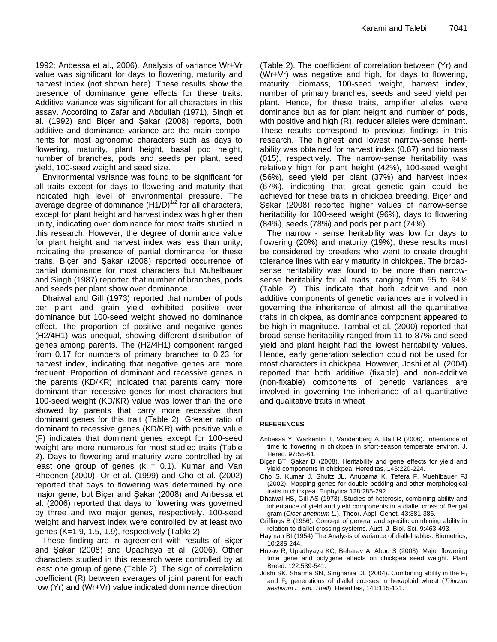1992; Anbessa et al., 2006)*.* Analysis of variance Wr+Vr value was significant for days to flowering, maturity and harvest index (not shown here). These results show the presence of dominance gene effects for these traits. Additive variance was significant for all characters in this assay. According to Zafar and Abdullah (1971), Singh et al. (1992) and Biçer and Şakar (2008) reports, both additive and dominance variance are the main components for most agronomic characters such as days to flowering, maturity, plant height, basal pod height, number of branches, pods and seeds per plant, seed yield, 100-seed weight and seed size.

Environmental variance was found to be significant for all traits except for days to flowering and maturity that indicated high level of environmental pressure. The average degree of dominance (H1/D)<sup>1/2</sup> for all characters, except for plant height and harvest index was higher than unity, indicating over dominance for most traits studied in this research. However, the degree of dominance value for plant height and harvest index was less than unity, indicating the presence of partial dominance for these traits. Biçer and Şakar (2008) reported occurrence of partial dominance for most characters but Muhelbauer and Singh (1987) reported that number of branches, pods and seeds per plant show over dominance.

Dhaiwal and Gill (1973) reported that number of pods per plant and grain yield exhibited positive over dominance but 100-seed weight showed no dominance effect. The proportion of positive and negative genes (H2/4H1) was unequal, showing different distribution of genes among parents. The (H2/4H1) component ranged from 0.17 for numbers of primary branches to 0.23 for harvest index, indicating that negative genes are more frequent. Proportion of dominant and recessive genes in the parents (KD/KR) indicated that parents carry more dominant than recessive genes for most characters but 100-seed weight (KD/KR) value was lower than the one showed by parents that carry more recessive than dominant genes for this trait (Table 2). Greater ratio of dominant to recessive genes (KD/KR) with positive value (F) indicates that dominant genes except for 100-seed weight are more numerous for most studied traits (Table 2). Days to flowering and maturity were controlled by at least one group of genes  $(k = 0.1)$ . Kumar and Van Rheenen (2000), Or et al. (1999) and Cho et al. (2002) reported that days to flowering was determined by one major gene, but Biçer and Şakar (2008) and Anbessa et al. (2006) reported that days to flowering was governed by three and two major genes, respectively. 100-seed weight and harvest index were controlled by at least two genes (K=1.9, 1.5, 1.9), respectively (Table 2).

These finding are in agreement with results of Biçer and Şakar (2008) and Upadhaya et al. (2006). Other characters studied in this research were controlled by at least one group of gene (Table 2). The sign of correlation coefficient (R) between averages of joint parent for each row (Yr) and (Wr+Vr) value indicated dominance direction

(Table 2). The coefficient of correlation between (Yr) and (Wr+Vr) was negative and high, for days to flowering, maturity, biomass, 100-seed weight, harvest index, number of primary branches, seeds and seed yield per plant. Hence, for these traits, amplifier alleles were dominance but as for plant height and number of pods, with positive and high (R), reducer alleles were dominant. These results correspond to previous findings in this research. The highest and lowest narrow-sense heritability was obtained for harvest index (0.67) and biomass (015), respectively. The narrow-sense heritability was relatively high for plant height (42%), 100-seed weight (56%), seed yield per plant (37%) and harvest index (67%), indicating that great genetic gain could be achieved for these traits in chickpea breeding. Biçer and Şakar (2008) reported higher values of narrow-sense heritability for 100-seed weight (96%), days to flowering (84%), seeds (78%) and pods per plant (74%).

The narrow - sense heritability was low for days to flowering (20%) and maturity (19%), these results must be considered by breeders who want to create drought tolerance lines with early maturity in chickpea. The broadsense heritability was found to be more than narrowsense heritability for all traits, ranging from 55 to 94% (Table 2). This indicate that both additive and non additive components of genetic variances are involved in governing the inheritance of almost all the quantitative traits in chickpea, as dominance component appeared to be high in magnitude. Tambal et al. (2000) reported that broad-sense heritability ranged from 11 to 87% and seed yield and plant height had the lowest heritability values. Hence, early generation selection could not be used for most characters in chickpea. However, Joshi et al. (2004) reported that both additive (fixable) and non-additive (non-fixable) components of genetic variances are involved in governing the inheritance of all quantitative and qualitative traits in wheat

#### **REFERENCES**

- Anbessa Y, Warkentin T, Vandenberg A, Ball R (2006). Inheritance of time to flowering in chickpea in short-season temperate environ. J. Hered. 97:55-61.
- Biçer BT, Şakar D (2008). Heritability and gene effects for yield and yield components in chickpea. Hereditas, 145:220-224.
- Cho S, Kumar J, Shultz JL, Anupama K, Tefera F, Muehlbauer FJ (2002). Mapping genes for double podding and other morphological traits in chickpea. Euphytica 128:285-292.
- Dhaiwal HS, Gill AS (1973) .Studies of heterosis, combining ability and inheritance of yield and yield components in a diallel cross of Bengal gram (*Cicer arietinum L.*). Theor. Appl. Genet. 43:381-386.
- Griffings B (1956). Concept of general and specific combining ability in relation to diallel crossing systems. Aust. J. Biol. Sci. 9:463-493.
- Hayman BI (1954) The Analysis of variance of diallel tables. Biometrics, 10:235-244.
- Hovav R, Upadhyaya KC, Beharav A, Abbo S (2003). Major flowering time gene and polygene effects on chickpea seed weight. Plant Breed. 122:539-541.
- Joshi SK, Sharma SN, Singhania DL (2004). Combining ability in the  $F_1$ and F<sup>2</sup> generations of diallel crosses in hexaploid wheat (*Triticum aestivum L. em. Thell*). Hereditas, 141:115-121.